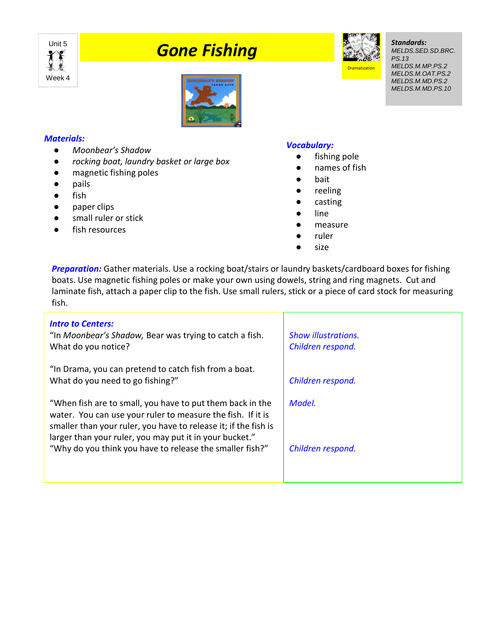

## **Gone Fishing**



## *Materials:*

- *Moonbear's Shadow*
- *rocking boat, laundry basket or large box*
- magnetic fishing poles
- pails
- fish
- paper clips
- small ruler or stick
- fish resources

## *Vocabulary:*

- fishing pole
- names of fish
- bait
- reeling
- casting
- line
- measure
- ruler
- size

**Preparation:** Gather materials. Use a rocking boat/stairs or laundry baskets/cardboard boxes for fishing boats. Use magnetic fishing poles or make your own using dowels, string and ring magnets. Cut and laminate fish, attach a paper clip to the fish. Use small rulers, stick or a piece of card stock for measuring fish.

| <b>Intro to Centers:</b><br>"In Moonbear's Shadow, Bear was trying to catch a fish.<br>What do you notice?                                                                                                                                                                                                         | <b>Show illustrations.</b><br>Children respond. |
|--------------------------------------------------------------------------------------------------------------------------------------------------------------------------------------------------------------------------------------------------------------------------------------------------------------------|-------------------------------------------------|
| "In Drama, you can pretend to catch fish from a boat.<br>What do you need to go fishing?"                                                                                                                                                                                                                          | Children respond.                               |
| "When fish are to small, you have to put them back in the<br>water. You can use your ruler to measure the fish. If it is<br>smaller than your ruler, you have to release it; if the fish is<br>larger than your ruler, you may put it in your bucket."<br>"Why do you think you have to release the smaller fish?" | Model.<br>Children respond.                     |
|                                                                                                                                                                                                                                                                                                                    |                                                 |



*Standards: MELDS.SED.SD.BRC. PS.13 MELDS.M.MP.PS.2 MELDS.M.OAT.PS.2 MELDS.M.MD.PS.2 MELDS.M.MD.PS.10*